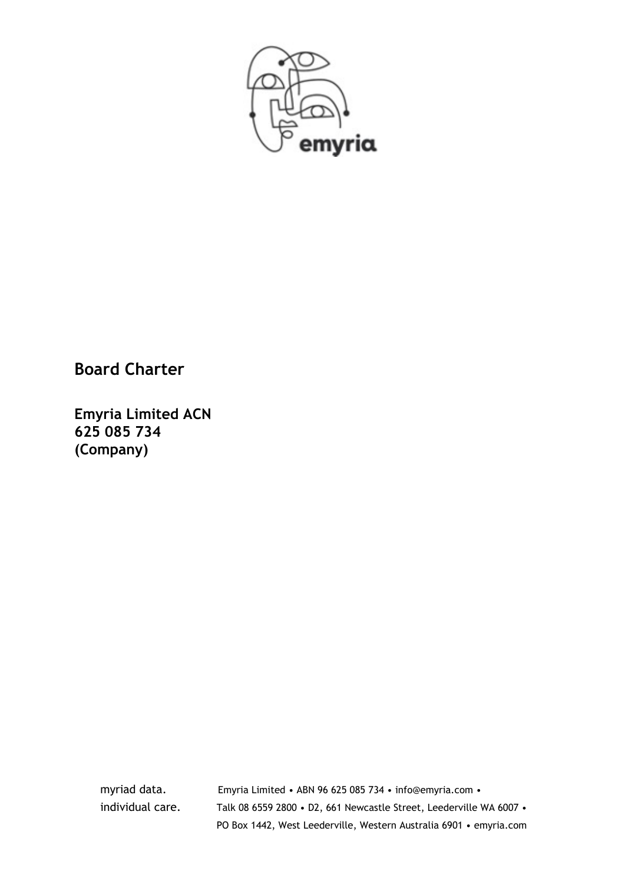

# **Board Charter**

**Emyria Limited ACN 625 085 734 (Company)** 

myriad data. Emyria Limited • ABN 96 625 085 734 • info@emyria.com • individual care. Talk 08 6559 2800 • D2, 661 Newcastle Street, Leederville WA 6007 • PO Box 1442, West Leederville, Western Australia 6901 • emyria.com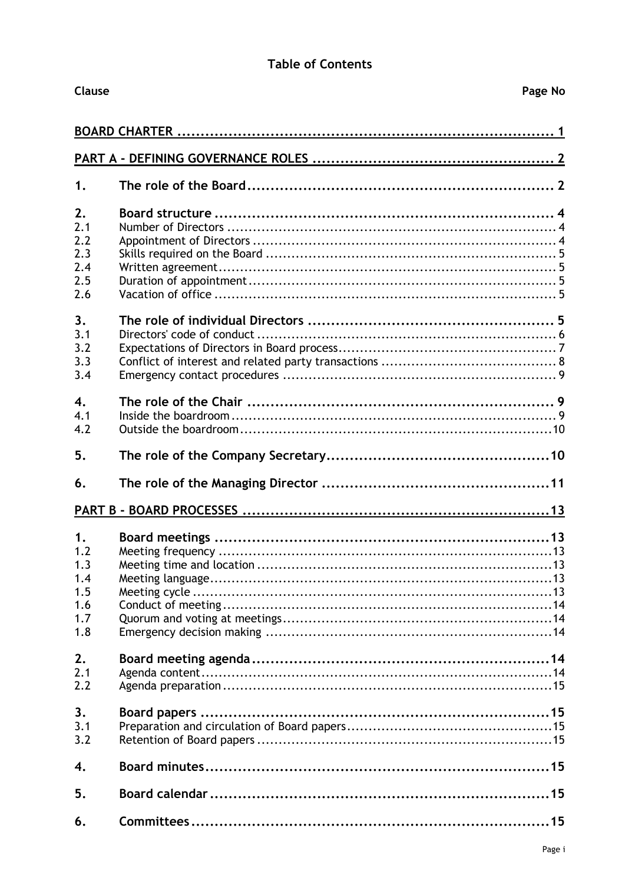### **Table of Contents**

| Clause |  | Page No |  |  |  |
|--------|--|---------|--|--|--|
|        |  |         |  |  |  |
|        |  |         |  |  |  |
| 1.     |  |         |  |  |  |
| 2.     |  |         |  |  |  |
| 2.1    |  |         |  |  |  |
| 2.2    |  |         |  |  |  |
| 2.3    |  |         |  |  |  |
| 2.4    |  |         |  |  |  |
| 2.5    |  |         |  |  |  |
| 2.6    |  |         |  |  |  |
| 3.     |  |         |  |  |  |
| 3.1    |  |         |  |  |  |
| 3.2    |  |         |  |  |  |
| 3.3    |  |         |  |  |  |
| 3.4    |  |         |  |  |  |
| 4.     |  |         |  |  |  |
| 4.1    |  |         |  |  |  |
| 4.2    |  |         |  |  |  |
| 5.     |  |         |  |  |  |
| 6.     |  |         |  |  |  |
|        |  |         |  |  |  |
| 1.     |  |         |  |  |  |
| 1.2    |  |         |  |  |  |
| 1.3    |  |         |  |  |  |
| 1.4    |  |         |  |  |  |
| 1.5    |  |         |  |  |  |
| 1.6    |  |         |  |  |  |
| 1.7    |  |         |  |  |  |
| 1.8    |  |         |  |  |  |
| 2.     |  |         |  |  |  |
| 2.1    |  |         |  |  |  |
| 2.2    |  |         |  |  |  |
| 3.     |  |         |  |  |  |
| 3.1    |  |         |  |  |  |
| 3.2    |  |         |  |  |  |
| 4.     |  |         |  |  |  |
| 5.     |  |         |  |  |  |
| 6.     |  |         |  |  |  |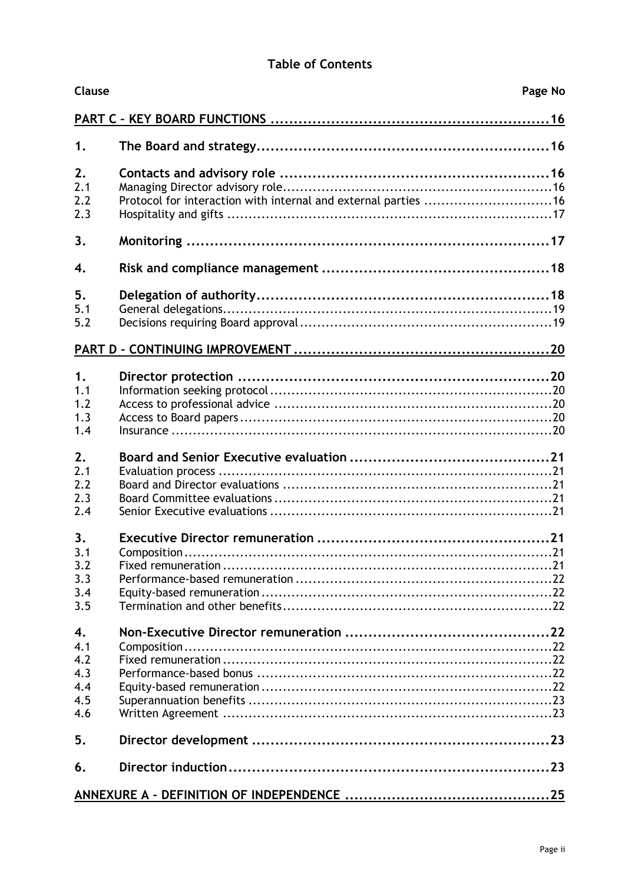### **Table of Contents**

| Clause                                       | Page No                                                        |  |
|----------------------------------------------|----------------------------------------------------------------|--|
|                                              |                                                                |  |
| 1.                                           |                                                                |  |
| 2.<br>2.1<br>2.2                             | Protocol for interaction with internal and external parties 16 |  |
| 2.3                                          |                                                                |  |
| 3.                                           |                                                                |  |
| 4.                                           |                                                                |  |
| 5.<br>5.1<br>5.2                             |                                                                |  |
|                                              |                                                                |  |
| 1.<br>1.1<br>1.2<br>1.3<br>1.4               |                                                                |  |
| 2.<br>2.1<br>2.2<br>2.3<br>2.4               |                                                                |  |
| 3.<br>3.1<br>3.2<br>3.3<br>3.4<br>3.5        | Composition.                                                   |  |
| 4.<br>4.1<br>4.2<br>4.3<br>4.4<br>4.5<br>4.6 |                                                                |  |
| 5.                                           |                                                                |  |
| 6.                                           |                                                                |  |
|                                              |                                                                |  |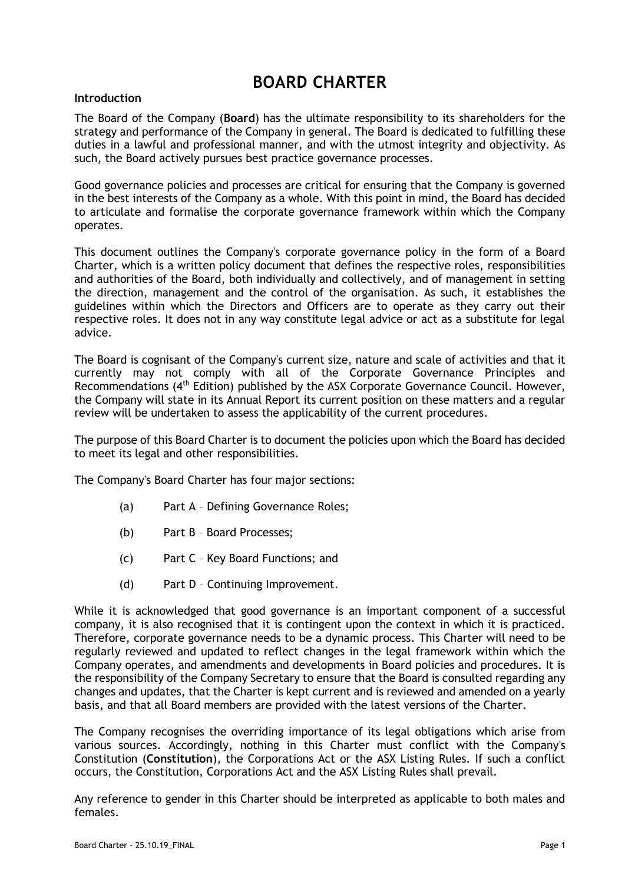# **BOARD CHARTER**

#### <span id="page-3-0"></span>**Introduction**

The Board of the Company (**Board**) has the ultimate responsibility to its shareholders for the strategy and performance of the Company in general. The Board is dedicated to fulfilling these duties in a lawful and professional manner, and with the utmost integrity and objectivity. As such, the Board actively pursues best practice governance processes.

Good governance policies and processes are critical for ensuring that the Company is governed in the best interests of the Company as a whole. With this point in mind, the Board has decided to articulate and formalise the corporate governance framework within which the Company operates.

This document outlines the Company's corporate governance policy in the form of a Board Charter, which is a written policy document that defines the respective roles, responsibilities and authorities of the Board, both individually and collectively, and of management in setting the direction, management and the control of the organisation. As such, it establishes the guidelines within which the Directors and Officers are to operate as they carry out their respective roles. It does not in any way constitute legal advice or act as a substitute for legal advice.

The Board is cognisant of the Company's current size, nature and scale of activities and that it currently may not comply with all of the Corporate Governance Principles and Recommendations (4<sup>th</sup> Edition) published by the ASX Corporate Governance Council. However, the Company will state in its Annual Report its current position on these matters and a regular review will be undertaken to assess the applicability of the current procedures.

The purpose of this Board Charter is to document the policies upon which the Board has decided to meet its legal and other responsibilities.

The Company's Board Charter has four major sections:

- (a) Part A Defining Governance Roles;
- (b) Part B Board Processes;
- (c) Part C Key Board Functions; and
- (d) Part D Continuing Improvement.

While it is acknowledged that good governance is an important component of a successful company, it is also recognised that it is contingent upon the context in which it is practiced. Therefore, corporate governance needs to be a dynamic process. This Charter will need to be regularly reviewed and updated to reflect changes in the legal framework within which the Company operates, and amendments and developments in Board policies and procedures. It is the responsibility of the Company Secretary to ensure that the Board is consulted regarding any changes and updates, that the Charter is kept current and is reviewed and amended on a yearly basis, and that all Board members are provided with the latest versions of the Charter.

The Company recognises the overriding importance of its legal obligations which arise from various sources. Accordingly, nothing in this Charter must conflict with the Company's Constitution (**Constitution**), the Corporations Act or the ASX Listing Rules. If such a conflict occurs, the Constitution, Corporations Act and the ASX Listing Rules shall prevail.

Any reference to gender in this Charter should be interpreted as applicable to both males and females.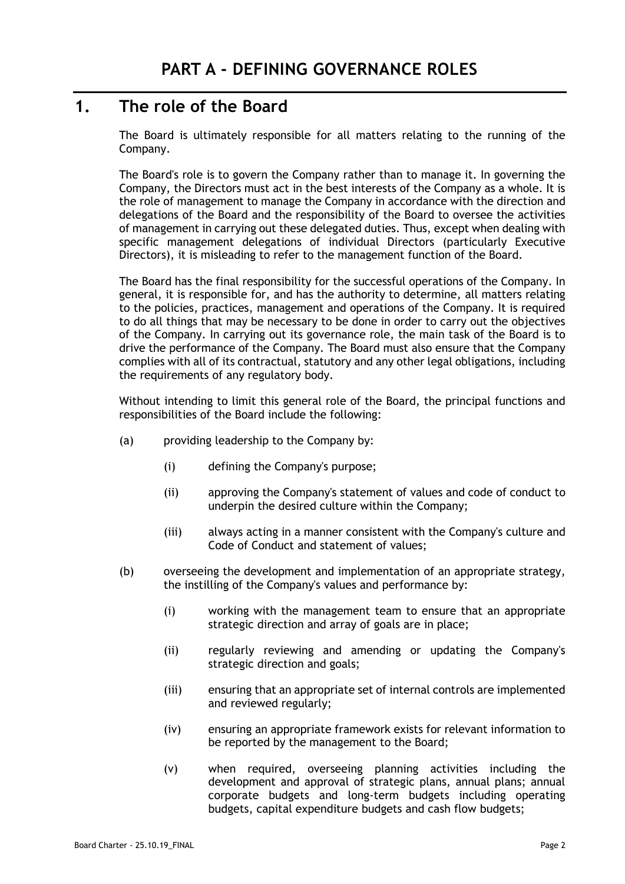# <span id="page-4-1"></span><span id="page-4-0"></span>**1. The role of the Board**

The Board is ultimately responsible for all matters relating to the running of the Company.

The Board's role is to govern the Company rather than to manage it. In governing the Company, the Directors must act in the best interests of the Company as a whole. It is the role of management to manage the Company in accordance with the direction and delegations of the Board and the responsibility of the Board to oversee the activities of management in carrying out these delegated duties. Thus, except when dealing with specific management delegations of individual Directors (particularly Executive Directors), it is misleading to refer to the management function of the Board.

The Board has the final responsibility for the successful operations of the Company. In general, it is responsible for, and has the authority to determine, all matters relating to the policies, practices, management and operations of the Company. It is required to do all things that may be necessary to be done in order to carry out the objectives of the Company. In carrying out its governance role, the main task of the Board is to drive the performance of the Company. The Board must also ensure that the Company complies with all of its contractual, statutory and any other legal obligations, including the requirements of any regulatory body.

Without intending to limit this general role of the Board, the principal functions and responsibilities of the Board include the following:

- (a) providing leadership to the Company by:
	- (i) defining the Company's purpose;
	- (ii) approving the Company's statement of values and code of conduct to underpin the desired culture within the Company;
	- (iii) always acting in a manner consistent with the Company's culture and Code of Conduct and statement of values;
- (b) overseeing the development and implementation of an appropriate strategy, the instilling of the Company's values and performance by:
	- (i) working with the management team to ensure that an appropriate strategic direction and array of goals are in place;
	- (ii) regularly reviewing and amending or updating the Company's strategic direction and goals;
	- (iii) ensuring that an appropriate set of internal controls are implemented and reviewed regularly;
	- (iv) ensuring an appropriate framework exists for relevant information to be reported by the management to the Board;
	- (v) when required, overseeing planning activities including the development and approval of strategic plans, annual plans; annual corporate budgets and long-term budgets including operating budgets, capital expenditure budgets and cash flow budgets;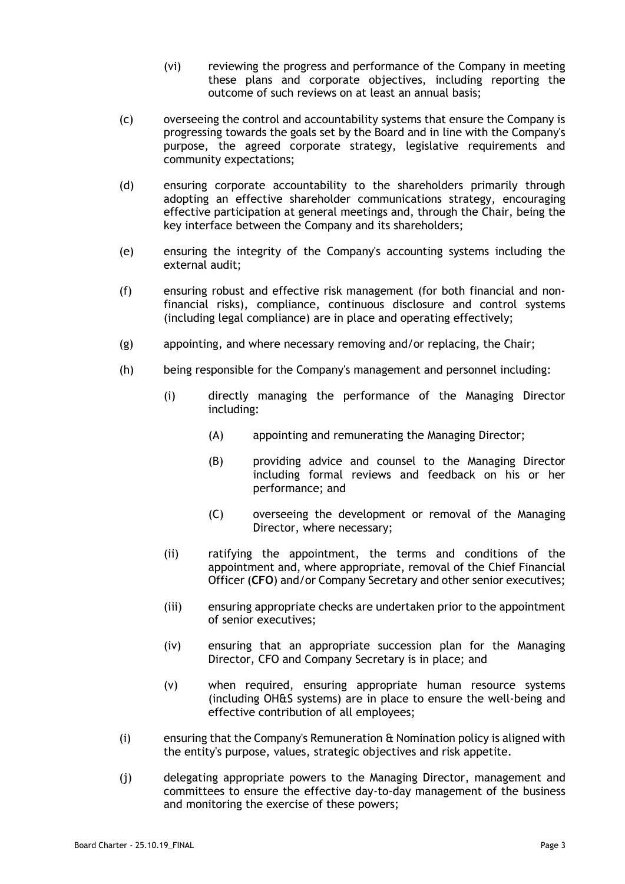- (vi) reviewing the progress and performance of the Company in meeting these plans and corporate objectives, including reporting the outcome of such reviews on at least an annual basis;
- (c) overseeing the control and accountability systems that ensure the Company is progressing towards the goals set by the Board and in line with the Company's purpose, the agreed corporate strategy, legislative requirements and community expectations;
- (d) ensuring corporate accountability to the shareholders primarily through adopting an effective shareholder communications strategy, encouraging effective participation at general meetings and, through the Chair, being the key interface between the Company and its shareholders;
- (e) ensuring the integrity of the Company's accounting systems including the external audit;
- (f) ensuring robust and effective risk management (for both financial and nonfinancial risks), compliance, continuous disclosure and control systems (including legal compliance) are in place and operating effectively;
- (g) appointing, and where necessary removing and/or replacing, the Chair;
- (h) being responsible for the Company's management and personnel including:
	- (i) directly managing the performance of the Managing Director including:
		- (A) appointing and remunerating the Managing Director;
		- (B) providing advice and counsel to the Managing Director including formal reviews and feedback on his or her performance; and
		- (C) overseeing the development or removal of the Managing Director, where necessary;
	- (ii) ratifying the appointment, the terms and conditions of the appointment and, where appropriate, removal of the Chief Financial Officer (**CFO**) and/or Company Secretary and other senior executives;
	- (iii) ensuring appropriate checks are undertaken prior to the appointment of senior executives;
	- (iv) ensuring that an appropriate succession plan for the Managing Director, CFO and Company Secretary is in place; and
	- (v) when required, ensuring appropriate human resource systems (including OH&S systems) are in place to ensure the well-being and effective contribution of all employees;
- (i) ensuring that the Company's Remuneration & Nomination policy is aligned with the entity's purpose, values, strategic objectives and risk appetite.
- (j) delegating appropriate powers to the Managing Director, management and committees to ensure the effective day-to-day management of the business and monitoring the exercise of these powers;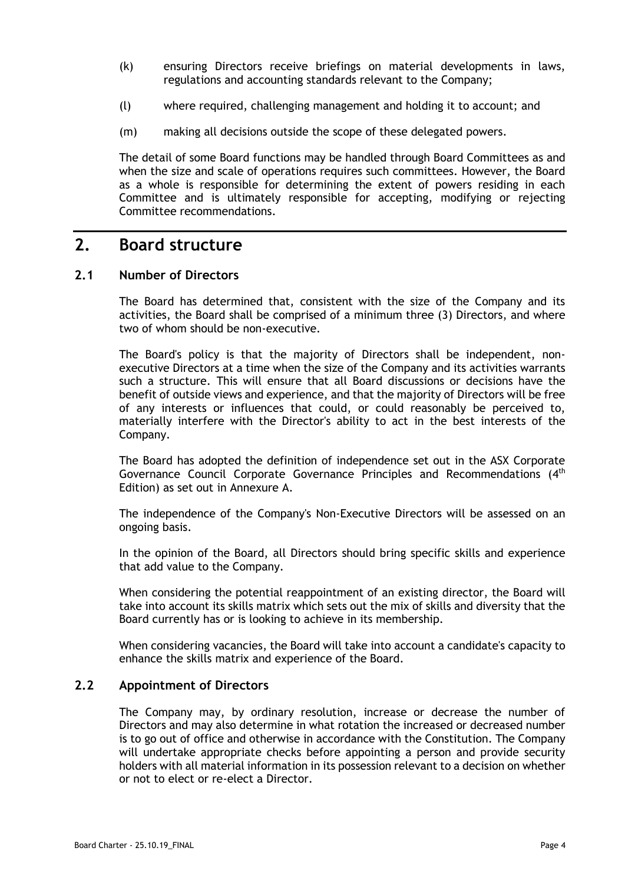- (k) ensuring Directors receive briefings on material developments in laws, regulations and accounting standards relevant to the Company;
- (l) where required, challenging management and holding it to account; and
- (m) making all decisions outside the scope of these delegated powers.

The detail of some Board functions may be handled through Board Committees as and when the size and scale of operations requires such committees. However, the Board as a whole is responsible for determining the extent of powers residing in each Committee and is ultimately responsible for accepting, modifying or rejecting Committee recommendations.

### <span id="page-6-0"></span>**2. Board structure**

#### <span id="page-6-1"></span>**2.1 Number of Directors**

The Board has determined that, consistent with the size of the Company and its activities, the Board shall be comprised of a minimum three (3) Directors, and where two of whom should be non-executive.

The Board's policy is that the majority of Directors shall be independent, nonexecutive Directors at a time when the size of the Company and its activities warrants such a structure. This will ensure that all Board discussions or decisions have the benefit of outside views and experience, and that the majority of Directors will be free of any interests or influences that could, or could reasonably be perceived to, materially interfere with the Director's ability to act in the best interests of the Company.

The Board has adopted the definition of independence set out in the ASX Corporate Governance Council Corporate Governance Principles and Recommendations (4<sup>th</sup> Edition) as set out in Annexure A.

The independence of the Company's Non-Executive Directors will be assessed on an ongoing basis.

In the opinion of the Board, all Directors should bring specific skills and experience that add value to the Company.

When considering the potential reappointment of an existing director, the Board will take into account its skills matrix which sets out the mix of skills and diversity that the Board currently has or is looking to achieve in its membership.

When considering vacancies, the Board will take into account a candidate's capacity to enhance the skills matrix and experience of the Board.

#### <span id="page-6-2"></span>**2.2 Appointment of Directors**

The Company may, by ordinary resolution, increase or decrease the number of Directors and may also determine in what rotation the increased or decreased number is to go out of office and otherwise in accordance with the Constitution. The Company will undertake appropriate checks before appointing a person and provide security holders with all material information in its possession relevant to a decision on whether or not to elect or re-elect a Director.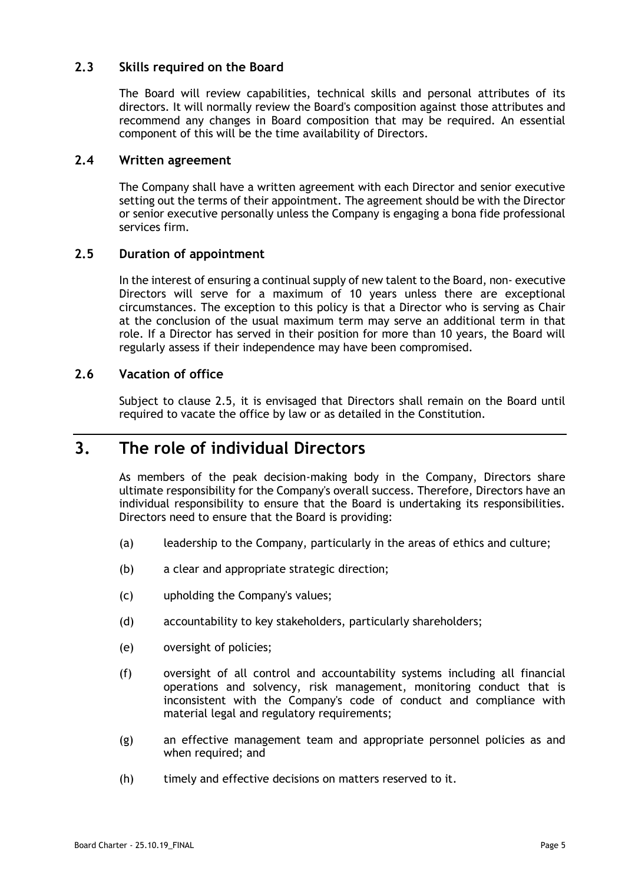### <span id="page-7-0"></span>**2.3 Skills required on the Board**

The Board will review capabilities, technical skills and personal attributes of its directors. It will normally review the Board's composition against those attributes and recommend any changes in Board composition that may be required. An essential component of this will be the time availability of Directors.

#### <span id="page-7-1"></span>**2.4 Written agreement**

The Company shall have a written agreement with each Director and senior executive setting out the terms of their appointment. The agreement should be with the Director or senior executive personally unless the Company is engaging a bona fide professional services firm.

### <span id="page-7-2"></span>**2.5 Duration of appointment**

In the interest of ensuring a continual supply of new talent to the Board, non- executive Directors will serve for a maximum of 10 years unless there are exceptional circumstances. The exception to this policy is that a Director who is serving as Chair at the conclusion of the usual maximum term may serve an additional term in that role. If a Director has served in their position for more than 10 years, the Board will regularly assess if their independence may have been compromised.

### <span id="page-7-3"></span>**2.6 Vacation of office**

Subject to clause [2.5,](#page-7-2) it is envisaged that Directors shall remain on the Board until required to vacate the office by law or as detailed in the Constitution.

## <span id="page-7-4"></span>**3. The role of individual Directors**

As members of the peak decision-making body in the Company, Directors share ultimate responsibility for the Company's overall success. Therefore, Directors have an individual responsibility to ensure that the Board is undertaking its responsibilities. Directors need to ensure that the Board is providing:

- (a) leadership to the Company, particularly in the areas of ethics and culture;
- (b) a clear and appropriate strategic direction;
- (c) upholding the Company's values;
- (d) accountability to key stakeholders, particularly shareholders;
- (e) oversight of policies;
- (f) oversight of all control and accountability systems including all financial operations and solvency, risk management, monitoring conduct that is inconsistent with the Company's code of conduct and compliance with material legal and regulatory requirements;
- (g) an effective management team and appropriate personnel policies as and when required; and
- (h) timely and effective decisions on matters reserved to it.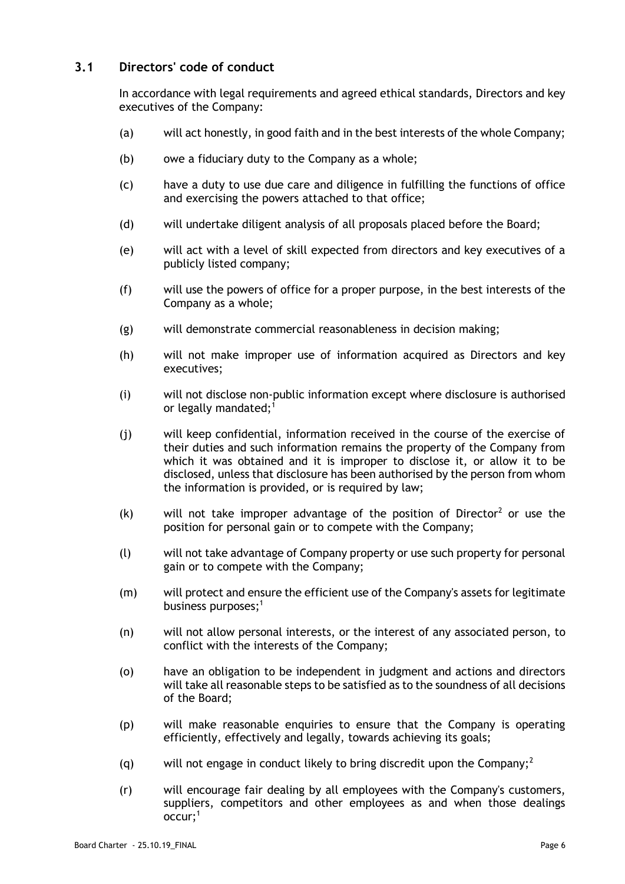### <span id="page-8-0"></span>**3.1 Directors' code of conduct**

In accordance with legal requirements and agreed ethical standards, Directors and key executives of the Company:

- (a) will act honestly, in good faith and in the best interests of the whole Company;
- (b) owe a fiduciary duty to the Company as a whole;
- (c) have a duty to use due care and diligence in fulfilling the functions of office and exercising the powers attached to that office;
- (d) will undertake diligent analysis of all proposals placed before the Board;
- (e) will act with a level of skill expected from directors and key executives of a publicly listed company;
- (f) will use the powers of office for a proper purpose, in the best interests of the Company as a whole;
- (g) will demonstrate commercial reasonableness in decision making;
- (h) will not make improper use of information acquired as Directors and key executives;
- (i) will not disclose non-public information except where disclosure is authorised or legally mandated; $1$
- (j) will keep confidential, information received in the course of the exercise of their duties and such information remains the property of the Company from which it was obtained and it is improper to disclose it, or allow it to be disclosed, unless that disclosure has been authorised by the person from whom the information is provided, or is required by law;
- $(k)$  will not take improper advantage of the position of Director<sup>2</sup> or use the position for personal gain or to compete with the Company;
- (l) will not take advantage of Company property or use such property for personal gain or to compete with the Company;
- (m) will protect and ensure the efficient use of the Company's assets for legitimate business purposes; $<sup>1</sup>$ </sup>
- (n) will not allow personal interests, or the interest of any associated person, to conflict with the interests of the Company;
- (o) have an obligation to be independent in judgment and actions and directors will take all reasonable steps to be satisfied as to the soundness of all decisions of the Board;
- (p) will make reasonable enquiries to ensure that the Company is operating efficiently, effectively and legally, towards achieving its goals;
- (q) will not engage in conduct likely to bring discredit upon the Company;<sup>2</sup>
- (r) will encourage fair dealing by all employees with the Company's customers, suppliers, competitors and other employees as and when those dealings occur;<sup>1</sup>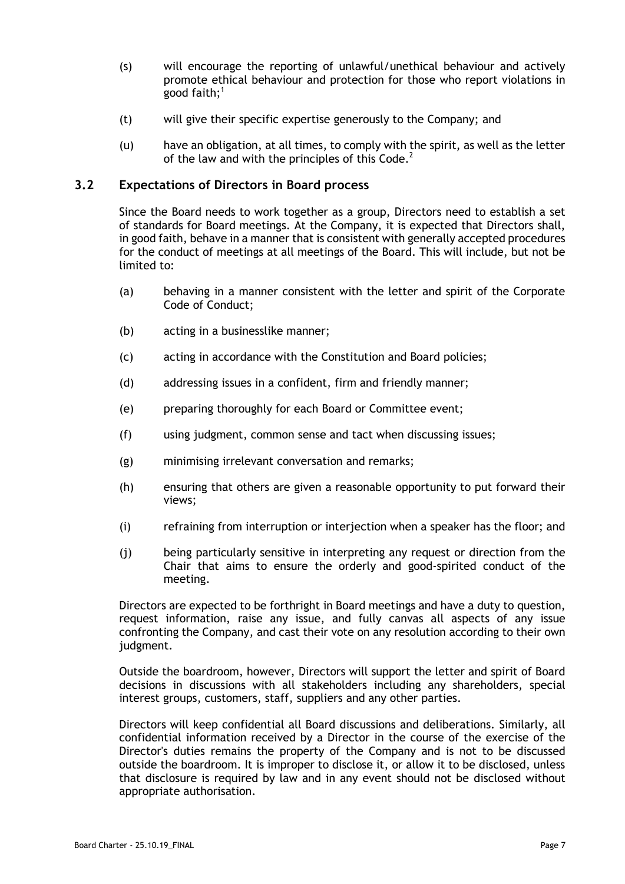- (s) will encourage the reporting of unlawful/unethical behaviour and actively promote ethical behaviour and protection for those who report violations in good faith;<sup>1</sup>
- (t) will give their specific expertise generously to the Company; and
- (u) have an obligation, at all times, to comply with the spirit, as well as the letter of the law and with the principles of this  $Code<sup>2</sup>$ .

#### <span id="page-9-0"></span>**3.2 Expectations of Directors in Board process**

Since the Board needs to work together as a group, Directors need to establish a set of standards for Board meetings. At the Company, it is expected that Directors shall, in good faith, behave in a manner that is consistent with generally accepted procedures for the conduct of meetings at all meetings of the Board. This will include, but not be limited to:

- (a) behaving in a manner consistent with the letter and spirit of the Corporate Code of Conduct;
- (b) acting in a businesslike manner;
- (c) acting in accordance with the Constitution and Board policies;
- (d) addressing issues in a confident, firm and friendly manner;
- (e) preparing thoroughly for each Board or Committee event;
- (f) using judgment, common sense and tact when discussing issues;
- (g) minimising irrelevant conversation and remarks;
- (h) ensuring that others are given a reasonable opportunity to put forward their views;
- (i) refraining from interruption or interjection when a speaker has the floor; and
- (j) being particularly sensitive in interpreting any request or direction from the Chair that aims to ensure the orderly and good-spirited conduct of the meeting.

Directors are expected to be forthright in Board meetings and have a duty to question, request information, raise any issue, and fully canvas all aspects of any issue confronting the Company, and cast their vote on any resolution according to their own judgment.

Outside the boardroom, however, Directors will support the letter and spirit of Board decisions in discussions with all stakeholders including any shareholders, special interest groups, customers, staff, suppliers and any other parties.

Directors will keep confidential all Board discussions and deliberations. Similarly, all confidential information received by a Director in the course of the exercise of the Director's duties remains the property of the Company and is not to be discussed outside the boardroom. It is improper to disclose it, or allow it to be disclosed, unless that disclosure is required by law and in any event should not be disclosed without appropriate authorisation.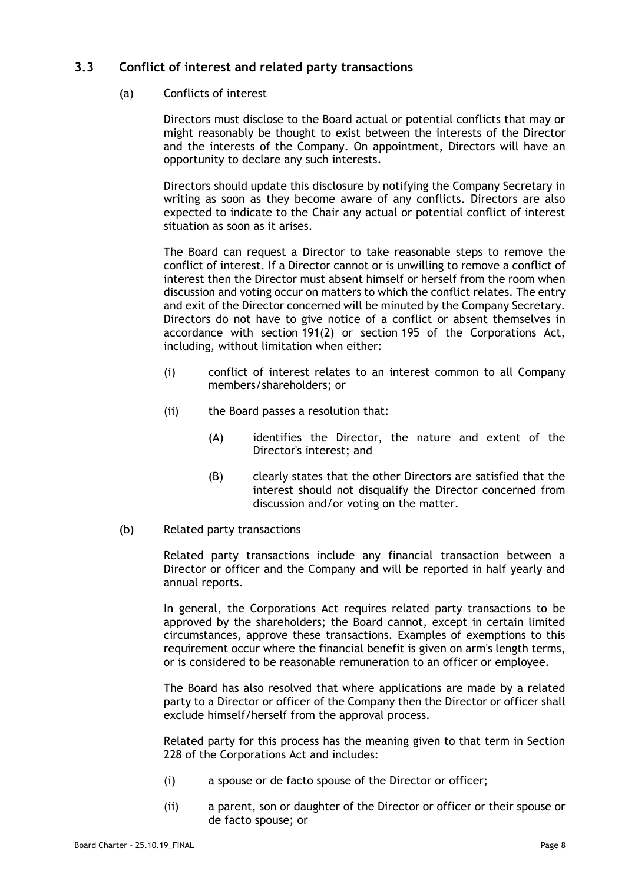### <span id="page-10-0"></span>**3.3 Conflict of interest and related party transactions**

#### (a) Conflicts of interest

Directors must disclose to the Board actual or potential conflicts that may or might reasonably be thought to exist between the interests of the Director and the interests of the Company. On appointment, Directors will have an opportunity to declare any such interests.

Directors should update this disclosure by notifying the Company Secretary in writing as soon as they become aware of any conflicts. Directors are also expected to indicate to the Chair any actual or potential conflict of interest situation as soon as it arises.

The Board can request a Director to take reasonable steps to remove the conflict of interest. If a Director cannot or is unwilling to remove a conflict of interest then the Director must absent himself or herself from the room when discussion and voting occur on matters to which the conflict relates. The entry and exit of the Director concerned will be minuted by the Company Secretary. Directors do not have to give notice of a conflict or absent themselves in accordance with section 191(2) or section 195 of the Corporations Act, including, without limitation when either:

- (i) conflict of interest relates to an interest common to all Company members/shareholders; or
- (ii) the Board passes a resolution that:
	- (A) identifies the Director, the nature and extent of the Director's interest; and
	- (B) clearly states that the other Directors are satisfied that the interest should not disqualify the Director concerned from discussion and/or voting on the matter.

#### (b) Related party transactions

Related party transactions include any financial transaction between a Director or officer and the Company and will be reported in half yearly and annual reports.

In general, the Corporations Act requires related party transactions to be approved by the shareholders; the Board cannot, except in certain limited circumstances, approve these transactions. Examples of exemptions to this requirement occur where the financial benefit is given on arm's length terms, or is considered to be reasonable remuneration to an officer or employee.

The Board has also resolved that where applications are made by a related party to a Director or officer of the Company then the Director or officer shall exclude himself/herself from the approval process.

Related party for this process has the meaning given to that term in Section 228 of the Corporations Act and includes:

- <span id="page-10-2"></span><span id="page-10-1"></span>(i) a spouse or de facto spouse of the Director or officer;
- (ii) a parent, son or daughter of the Director or officer or their spouse or de facto spouse; or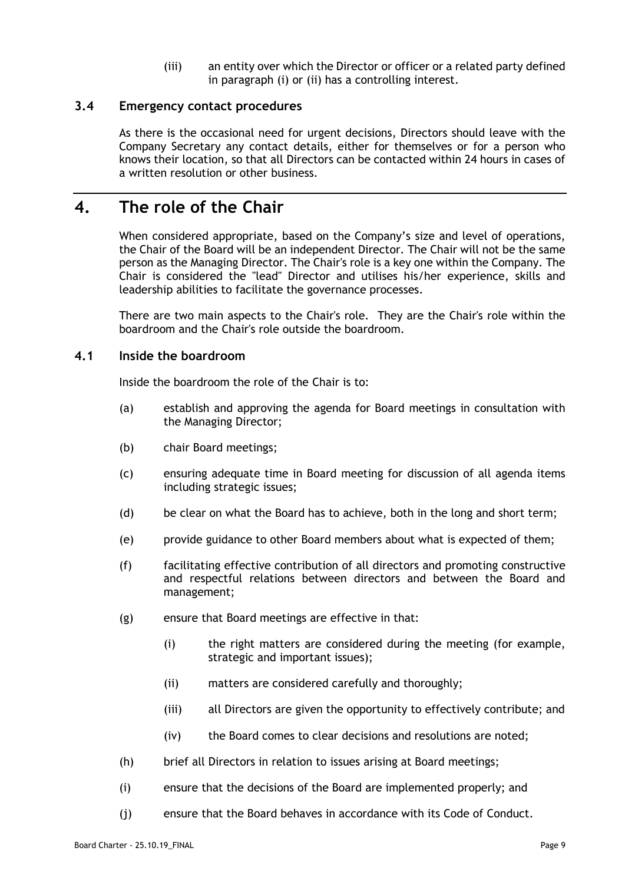(iii) an entity over which the Director or officer or a related party defined in paragraph [\(i\)](#page-10-1) or [\(ii\)](#page-10-2) has a controlling interest.

#### <span id="page-11-0"></span>**3.4 Emergency contact procedures**

As there is the occasional need for urgent decisions, Directors should leave with the Company Secretary any contact details, either for themselves or for a person who knows their location, so that all Directors can be contacted within 24 hours in cases of a written resolution or other business.

## <span id="page-11-1"></span>**4. The role of the Chair**

When considered appropriate, based on the Company's size and level of operations, the Chair of the Board will be an independent Director. The Chair will not be the same person as the Managing Director. The Chair's role is a key one within the Company. The Chair is considered the "lead" Director and utilises his/her experience, skills and leadership abilities to facilitate the governance processes.

There are two main aspects to the Chair's role. They are the Chair's role within the boardroom and the Chair's role outside the boardroom.

#### <span id="page-11-2"></span>**4.1 Inside the boardroom**

Inside the boardroom the role of the Chair is to:

- (a) establish and approving the agenda for Board meetings in consultation with the Managing Director;
- (b) chair Board meetings;
- (c) ensuring adequate time in Board meeting for discussion of all agenda items including strategic issues;
- (d) be clear on what the Board has to achieve, both in the long and short term;
- (e) provide guidance to other Board members about what is expected of them;
- (f) facilitating effective contribution of all directors and promoting constructive and respectful relations between directors and between the Board and management;
- (g) ensure that Board meetings are effective in that:
	- (i) the right matters are considered during the meeting (for example, strategic and important issues);
	- (ii) matters are considered carefully and thoroughly;
	- (iii) all Directors are given the opportunity to effectively contribute; and
	- (iv) the Board comes to clear decisions and resolutions are noted;
- (h) brief all Directors in relation to issues arising at Board meetings;
- (i) ensure that the decisions of the Board are implemented properly; and
- (j) ensure that the Board behaves in accordance with its Code of Conduct.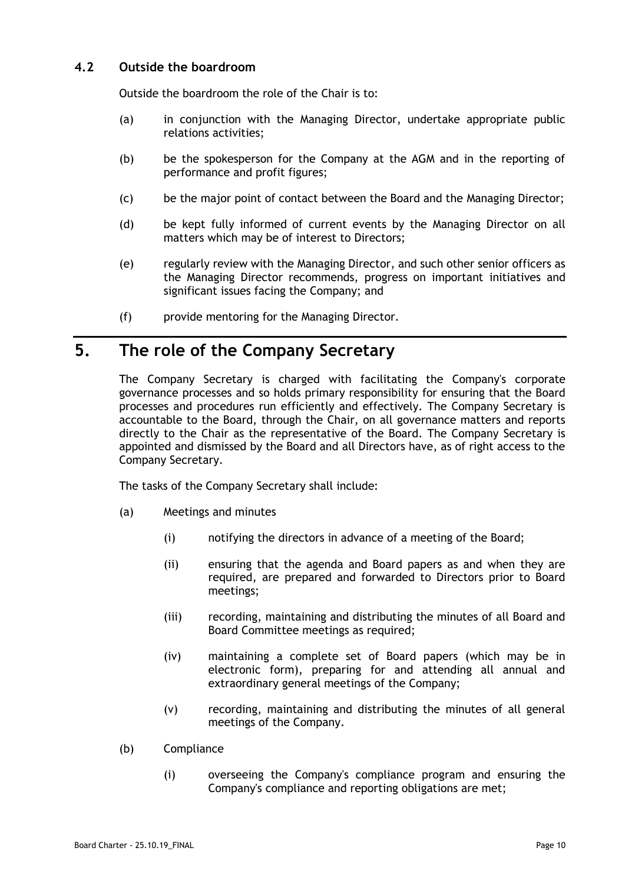### <span id="page-12-0"></span>**4.2 Outside the boardroom**

Outside the boardroom the role of the Chair is to:

- (a) in conjunction with the Managing Director, undertake appropriate public relations activities;
- (b) be the spokesperson for the Company at the AGM and in the reporting of performance and profit figures;
- (c) be the major point of contact between the Board and the Managing Director;
- (d) be kept fully informed of current events by the Managing Director on all matters which may be of interest to Directors;
- (e) regularly review with the Managing Director, and such other senior officers as the Managing Director recommends, progress on important initiatives and significant issues facing the Company; and
- (f) provide mentoring for the Managing Director.

# <span id="page-12-1"></span>**5. The role of the Company Secretary**

The Company Secretary is charged with facilitating the Company's corporate governance processes and so holds primary responsibility for ensuring that the Board processes and procedures run efficiently and effectively. The Company Secretary is accountable to the Board, through the Chair, on all governance matters and reports directly to the Chair as the representative of the Board. The Company Secretary is appointed and dismissed by the Board and all Directors have, as of right access to the Company Secretary.

The tasks of the Company Secretary shall include:

- (a) Meetings and minutes
	- (i) notifying the directors in advance of a meeting of the Board;
	- (ii) ensuring that the agenda and Board papers as and when they are required, are prepared and forwarded to Directors prior to Board meetings;
	- (iii) recording, maintaining and distributing the minutes of all Board and Board Committee meetings as required;
	- (iv) maintaining a complete set of Board papers (which may be in electronic form), preparing for and attending all annual and extraordinary general meetings of the Company;
	- (v) recording, maintaining and distributing the minutes of all general meetings of the Company.
- (b) Compliance
	- (i) overseeing the Company's compliance program and ensuring the Company's compliance and reporting obligations are met;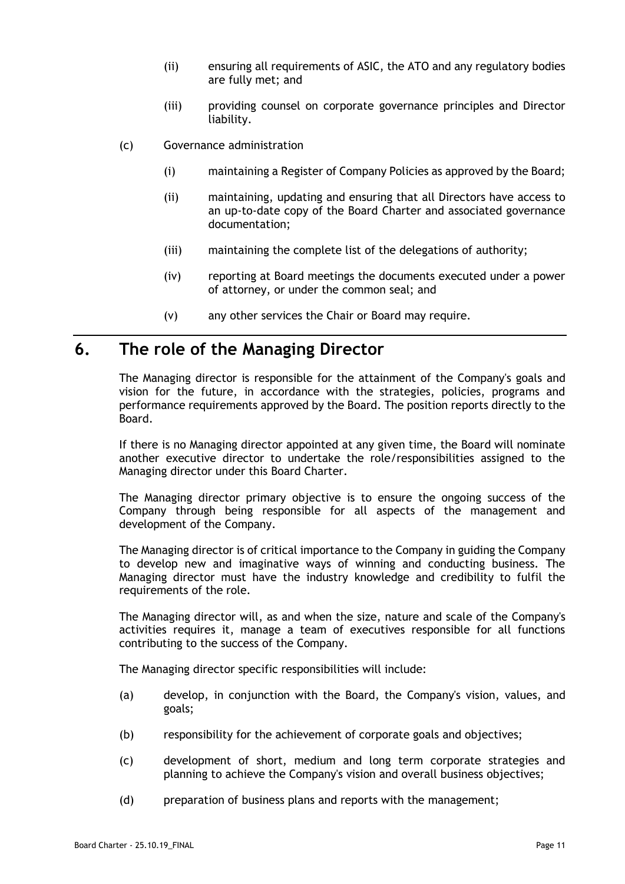- (ii) ensuring all requirements of ASIC, the ATO and any regulatory bodies are fully met; and
- (iii) providing counsel on corporate governance principles and Director liability.
- (c) Governance administration
	- (i) maintaining a Register of Company Policies as approved by the Board;
	- (ii) maintaining, updating and ensuring that all Directors have access to an up-to-date copy of the Board Charter and associated governance documentation;
	- (iii) maintaining the complete list of the delegations of authority;
	- (iv) reporting at Board meetings the documents executed under a power of attorney, or under the common seal; and
	- (v) any other services the Chair or Board may require.

### <span id="page-13-0"></span>**6. The role of the Managing Director**

The Managing director is responsible for the attainment of the Company's goals and vision for the future, in accordance with the strategies, policies, programs and performance requirements approved by the Board. The position reports directly to the Board.

If there is no Managing director appointed at any given time, the Board will nominate another executive director to undertake the role/responsibilities assigned to the Managing director under this Board Charter.

The Managing director primary objective is to ensure the ongoing success of the Company through being responsible for all aspects of the management and development of the Company.

The Managing director is of critical importance to the Company in guiding the Company to develop new and imaginative ways of winning and conducting business. The Managing director must have the industry knowledge and credibility to fulfil the requirements of the role.

The Managing director will, as and when the size, nature and scale of the Company's activities requires it, manage a team of executives responsible for all functions contributing to the success of the Company.

The Managing director specific responsibilities will include:

- (a) develop, in conjunction with the Board, the Company's vision, values, and goals;
- (b) responsibility for the achievement of corporate goals and objectives;
- (c) development of short, medium and long term corporate strategies and planning to achieve the Company's vision and overall business objectives;
- (d) preparation of business plans and reports with the management;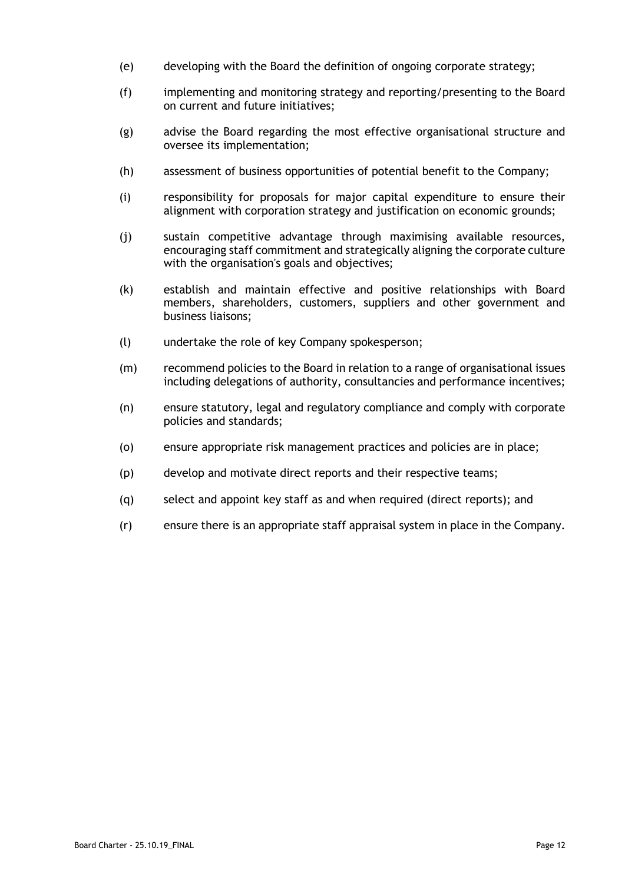- (e) developing with the Board the definition of ongoing corporate strategy;
- (f) implementing and monitoring strategy and reporting/presenting to the Board on current and future initiatives;
- (g) advise the Board regarding the most effective organisational structure and oversee its implementation;
- (h) assessment of business opportunities of potential benefit to the Company;
- (i) responsibility for proposals for major capital expenditure to ensure their alignment with corporation strategy and justification on economic grounds;
- (j) sustain competitive advantage through maximising available resources, encouraging staff commitment and strategically aligning the corporate culture with the organisation's goals and objectives;
- (k) establish and maintain effective and positive relationships with Board members, shareholders, customers, suppliers and other government and business liaisons;
- (l) undertake the role of key Company spokesperson;
- (m) recommend policies to the Board in relation to a range of organisational issues including delegations of authority, consultancies and performance incentives;
- (n) ensure statutory, legal and regulatory compliance and comply with corporate policies and standards;
- (o) ensure appropriate risk management practices and policies are in place;
- (p) develop and motivate direct reports and their respective teams;
- (q) select and appoint key staff as and when required (direct reports); and
- (r) ensure there is an appropriate staff appraisal system in place in the Company.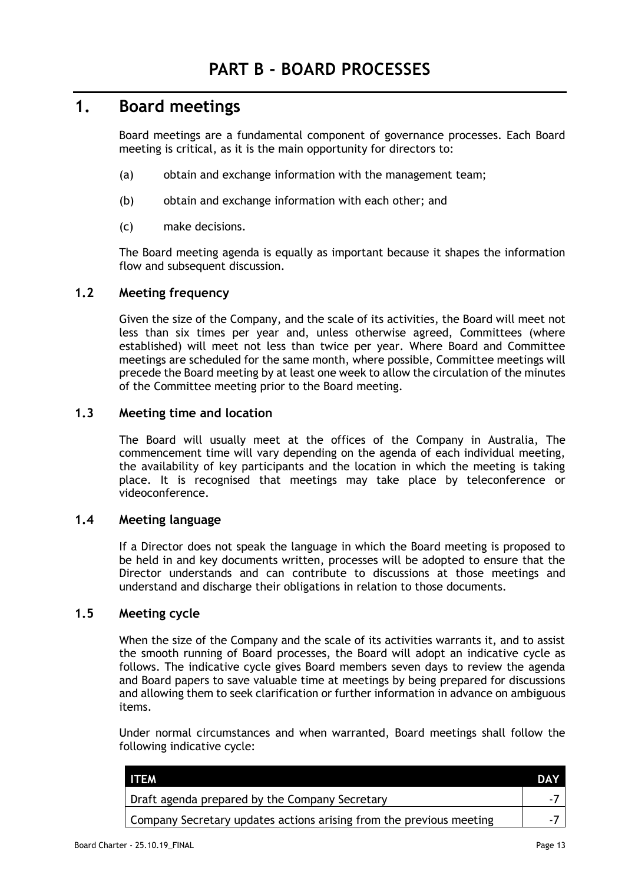## <span id="page-15-1"></span><span id="page-15-0"></span>**1. Board meetings**

Board meetings are a fundamental component of governance processes. Each Board meeting is critical, as it is the main opportunity for directors to:

- (a) obtain and exchange information with the management team;
- (b) obtain and exchange information with each other; and
- (c) make decisions.

The Board meeting agenda is equally as important because it shapes the information flow and subsequent discussion.

### <span id="page-15-2"></span>**1.2 Meeting frequency**

Given the size of the Company, and the scale of its activities, the Board will meet not less than six times per year and, unless otherwise agreed, Committees (where established) will meet not less than twice per year. Where Board and Committee meetings are scheduled for the same month, where possible, Committee meetings will precede the Board meeting by at least one week to allow the circulation of the minutes of the Committee meeting prior to the Board meeting.

### <span id="page-15-3"></span>**1.3 Meeting time and location**

The Board will usually meet at the offices of the Company in Australia, The commencement time will vary depending on the agenda of each individual meeting, the availability of key participants and the location in which the meeting is taking place. It is recognised that meetings may take place by teleconference or videoconference.

#### <span id="page-15-4"></span>**1.4 Meeting language**

If a Director does not speak the language in which the Board meeting is proposed to be held in and key documents written, processes will be adopted to ensure that the Director understands and can contribute to discussions at those meetings and understand and discharge their obligations in relation to those documents.

### <span id="page-15-5"></span>**1.5 Meeting cycle**

When the size of the Company and the scale of its activities warrants it, and to assist the smooth running of Board processes, the Board will adopt an indicative cycle as follows. The indicative cycle gives Board members seven days to review the agenda and Board papers to save valuable time at meetings by being prepared for discussions and allowing them to seek clarification or further information in advance on ambiguous items.

Under normal circumstances and when warranted, Board meetings shall follow the following indicative cycle:

| <b>ITEM</b>                                                         | <b>DAY</b> |
|---------------------------------------------------------------------|------------|
| Draft agenda prepared by the Company Secretary                      |            |
| Company Secretary updates actions arising from the previous meeting |            |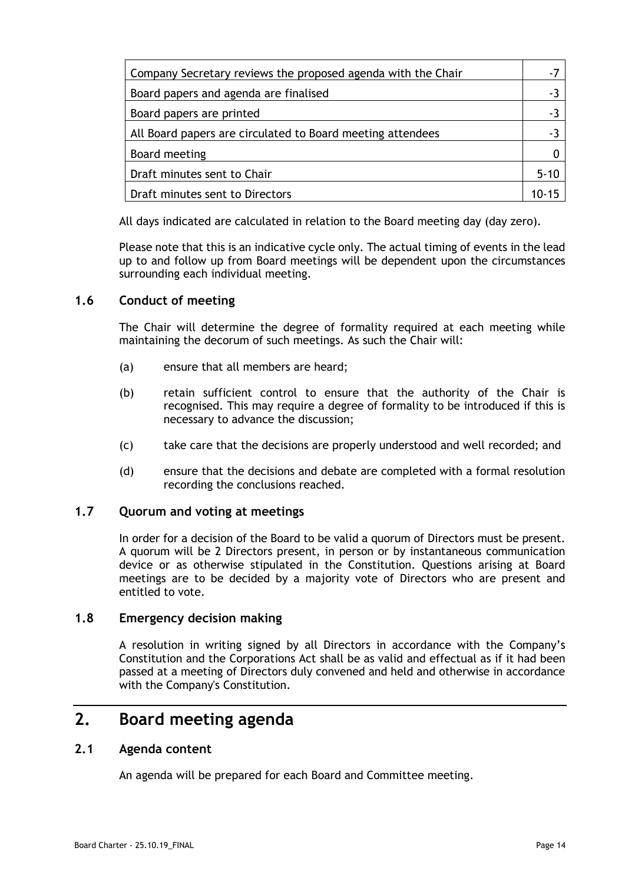| Company Secretary reviews the proposed agenda with the Chair |       |
|--------------------------------------------------------------|-------|
| Board papers and agenda are finalised                        |       |
| Board papers are printed                                     |       |
| All Board papers are circulated to Board meeting attendees   |       |
| Board meeting                                                |       |
| Draft minutes sent to Chair                                  |       |
| Draft minutes sent to Directors                              | 1በ-15 |

All days indicated are calculated in relation to the Board meeting day (day zero).

Please note that this is an indicative cycle only. The actual timing of events in the lead up to and follow up from Board meetings will be dependent upon the circumstances surrounding each individual meeting.

### <span id="page-16-0"></span>**1.6 Conduct of meeting**

The Chair will determine the degree of formality required at each meeting while maintaining the decorum of such meetings. As such the Chair will:

- (a) ensure that all members are heard;
- (b) retain sufficient control to ensure that the authority of the Chair is recognised. This may require a degree of formality to be introduced if this is necessary to advance the discussion;
- (c) take care that the decisions are properly understood and well recorded; and
- (d) ensure that the decisions and debate are completed with a formal resolution recording the conclusions reached.

### <span id="page-16-1"></span>**1.7 Quorum and voting at meetings**

In order for a decision of the Board to be valid a quorum of Directors must be present. A quorum will be 2 Directors present, in person or by instantaneous communication device or as otherwise stipulated in the Constitution. Questions arising at Board meetings are to be decided by a majority vote of Directors who are present and entitled to vote.

#### <span id="page-16-2"></span>**1.8 Emergency decision making**

A resolution in writing signed by all Directors in accordance with the Company's Constitution and the Corporations Act shall be as valid and effectual as if it had been passed at a meeting of Directors duly convened and held and otherwise in accordance with the Company's Constitution.

## <span id="page-16-3"></span>**2. Board meeting agenda**

### <span id="page-16-4"></span>**2.1 Agenda content**

An agenda will be prepared for each Board and Committee meeting.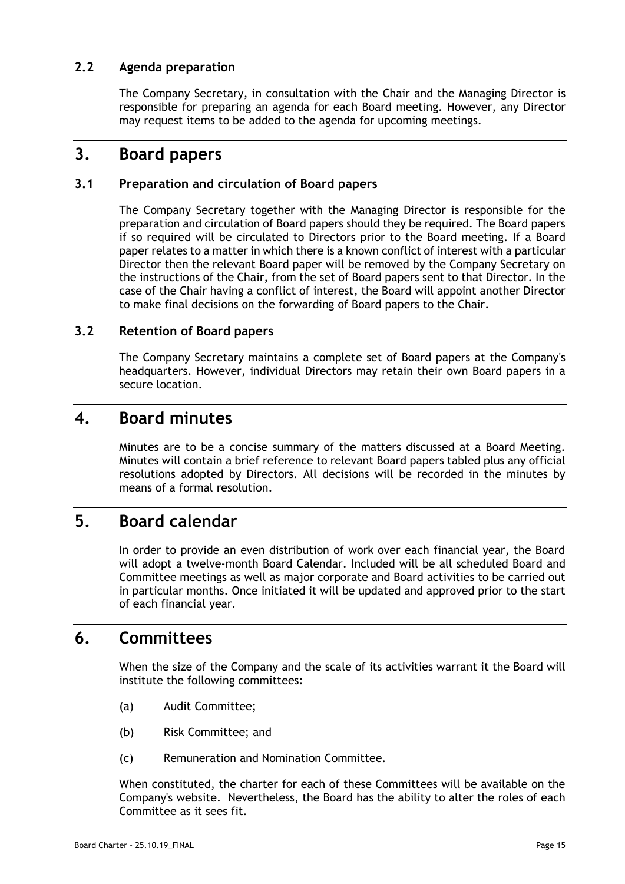### <span id="page-17-0"></span>**2.2 Agenda preparation**

The Company Secretary, in consultation with the Chair and the Managing Director is responsible for preparing an agenda for each Board meeting. However, any Director may request items to be added to the agenda for upcoming meetings.

## <span id="page-17-1"></span>**3. Board papers**

### <span id="page-17-2"></span>**3.1 Preparation and circulation of Board papers**

The Company Secretary together with the Managing Director is responsible for the preparation and circulation of Board papers should they be required. The Board papers if so required will be circulated to Directors prior to the Board meeting. If a Board paper relates to a matter in which there is a known conflict of interest with a particular Director then the relevant Board paper will be removed by the Company Secretary on the instructions of the Chair, from the set of Board papers sent to that Director. In the case of the Chair having a conflict of interest, the Board will appoint another Director to make final decisions on the forwarding of Board papers to the Chair.

### <span id="page-17-3"></span>**3.2 Retention of Board papers**

The Company Secretary maintains a complete set of Board papers at the Company's headquarters. However, individual Directors may retain their own Board papers in a secure location.

### <span id="page-17-4"></span>**4. Board minutes**

Minutes are to be a concise summary of the matters discussed at a Board Meeting. Minutes will contain a brief reference to relevant Board papers tabled plus any official resolutions adopted by Directors. All decisions will be recorded in the minutes by means of a formal resolution

## <span id="page-17-5"></span>**5. Board calendar**

In order to provide an even distribution of work over each financial year, the Board will adopt a twelve-month Board Calendar. Included will be all scheduled Board and Committee meetings as well as major corporate and Board activities to be carried out in particular months. Once initiated it will be updated and approved prior to the start of each financial year.

# <span id="page-17-6"></span>**6. Committees**

When the size of the Company and the scale of its activities warrant it the Board will institute the following committees:

- (a) Audit Committee;
- (b) Risk Committee; and
- (c) Remuneration and Nomination Committee.

When constituted, the charter for each of these Committees will be available on the Company's website. Nevertheless, the Board has the ability to alter the roles of each Committee as it sees fit.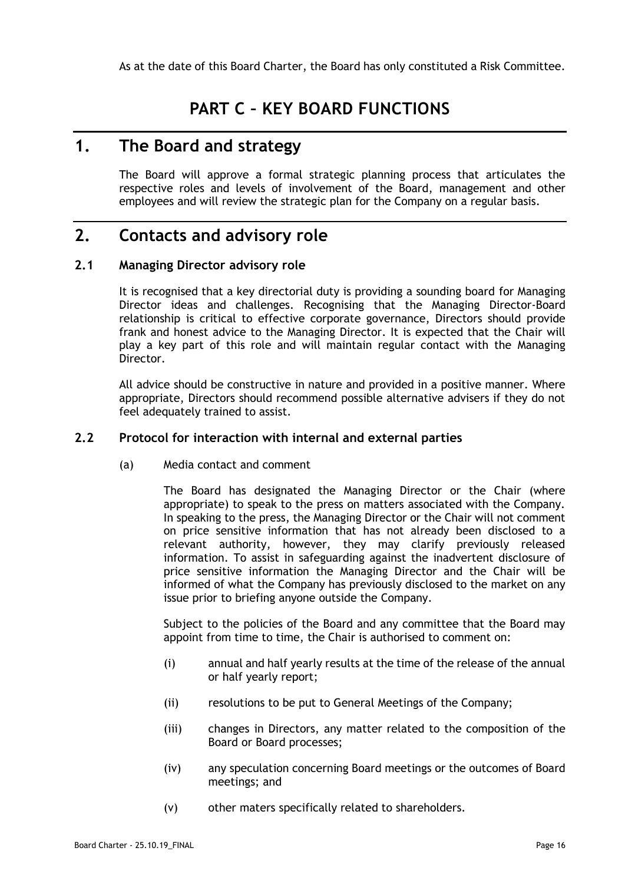# **PART C – KEY BOARD FUNCTIONS**

# <span id="page-18-1"></span><span id="page-18-0"></span>**1. The Board and strategy**

The Board will approve a formal strategic planning process that articulates the respective roles and levels of involvement of the Board, management and other employees and will review the strategic plan for the Company on a regular basis.

# <span id="page-18-2"></span>**2. Contacts and advisory role**

### <span id="page-18-3"></span>**2.1 Managing Director advisory role**

It is recognised that a key directorial duty is providing a sounding board for Managing Director ideas and challenges. Recognising that the Managing Director-Board relationship is critical to effective corporate governance, Directors should provide frank and honest advice to the Managing Director. It is expected that the Chair will play a key part of this role and will maintain regular contact with the Managing Director.

All advice should be constructive in nature and provided in a positive manner. Where appropriate, Directors should recommend possible alternative advisers if they do not feel adequately trained to assist.

#### <span id="page-18-4"></span>**2.2 Protocol for interaction with internal and external parties**

(a) Media contact and comment

The Board has designated the Managing Director or the Chair (where appropriate) to speak to the press on matters associated with the Company. In speaking to the press, the Managing Director or the Chair will not comment on price sensitive information that has not already been disclosed to a relevant authority, however, they may clarify previously released information. To assist in safeguarding against the inadvertent disclosure of price sensitive information the Managing Director and the Chair will be informed of what the Company has previously disclosed to the market on any issue prior to briefing anyone outside the Company.

Subject to the policies of the Board and any committee that the Board may appoint from time to time, the Chair is authorised to comment on:

- (i) annual and half yearly results at the time of the release of the annual or half yearly report;
- (ii) resolutions to be put to General Meetings of the Company;
- (iii) changes in Directors, any matter related to the composition of the Board or Board processes;
- (iv) any speculation concerning Board meetings or the outcomes of Board meetings; and
- (v) other maters specifically related to shareholders.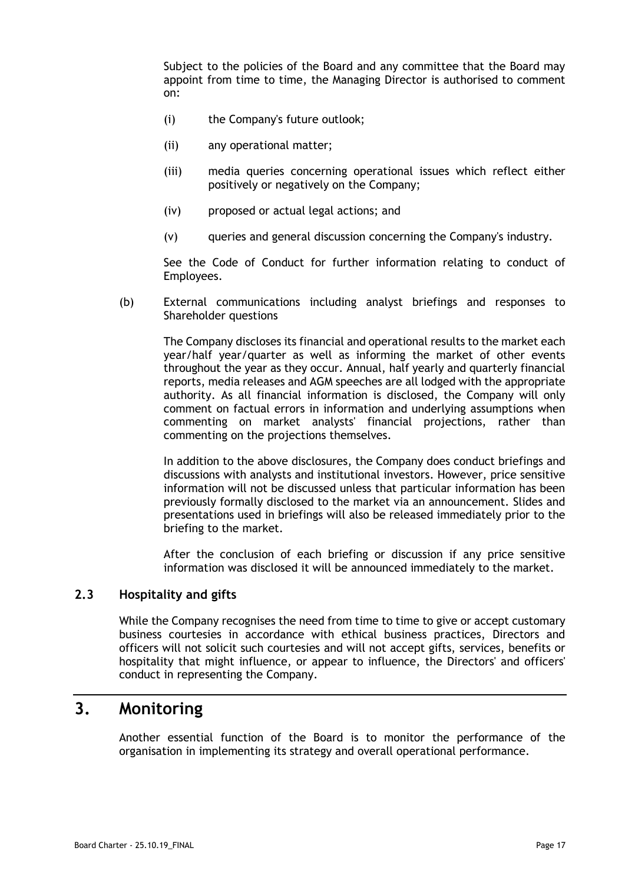Subject to the policies of the Board and any committee that the Board may appoint from time to time, the Managing Director is authorised to comment on:

- (i) the Company's future outlook;
- (ii) any operational matter;
- (iii) media queries concerning operational issues which reflect either positively or negatively on the Company;
- (iv) proposed or actual legal actions; and
- (v) queries and general discussion concerning the Company's industry.

See the Code of Conduct for further information relating to conduct of Employees.

(b) External communications including analyst briefings and responses to Shareholder questions

The Company discloses its financial and operational results to the market each year/half year/quarter as well as informing the market of other events throughout the year as they occur. Annual, half yearly and quarterly financial reports, media releases and AGM speeches are all lodged with the appropriate authority. As all financial information is disclosed, the Company will only comment on factual errors in information and underlying assumptions when commenting on market analysts' financial projections, rather than commenting on the projections themselves.

In addition to the above disclosures, the Company does conduct briefings and discussions with analysts and institutional investors. However, price sensitive information will not be discussed unless that particular information has been previously formally disclosed to the market via an announcement. Slides and presentations used in briefings will also be released immediately prior to the briefing to the market.

After the conclusion of each briefing or discussion if any price sensitive information was disclosed it will be announced immediately to the market.

### <span id="page-19-0"></span>**2.3 Hospitality and gifts**

While the Company recognises the need from time to time to give or accept customary business courtesies in accordance with ethical business practices, Directors and officers will not solicit such courtesies and will not accept gifts, services, benefits or hospitality that might influence, or appear to influence, the Directors' and officers' conduct in representing the Company.

# <span id="page-19-1"></span>**3. Monitoring**

Another essential function of the Board is to monitor the performance of the organisation in implementing its strategy and overall operational performance.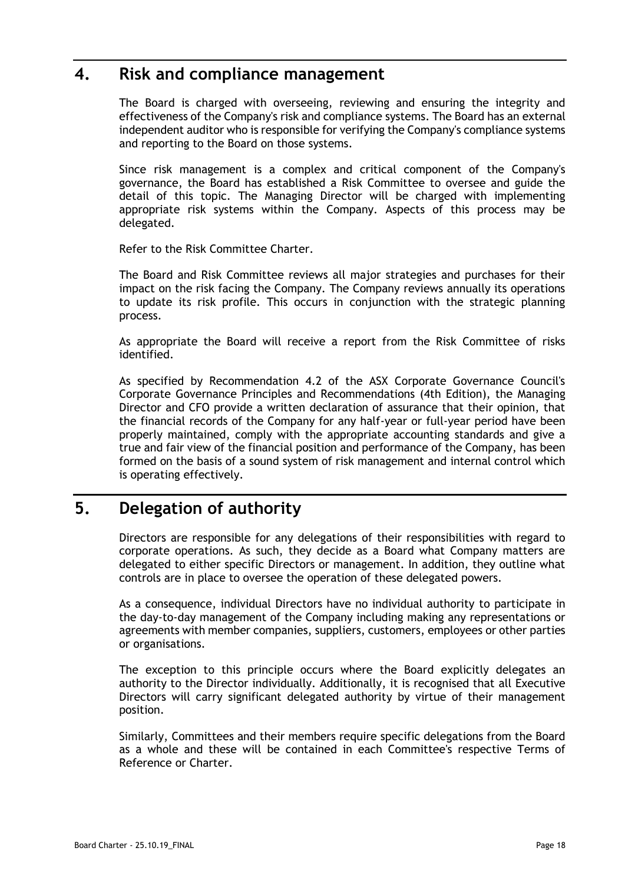### <span id="page-20-0"></span>**4. Risk and compliance management**

The Board is charged with overseeing, reviewing and ensuring the integrity and effectiveness of the Company's risk and compliance systems. The Board has an external independent auditor who is responsible for verifying the Company's compliance systems and reporting to the Board on those systems.

Since risk management is a complex and critical component of the Company's governance, the Board has established a Risk Committee to oversee and guide the detail of this topic. The Managing Director will be charged with implementing appropriate risk systems within the Company. Aspects of this process may be delegated.

Refer to the Risk Committee Charter.

The Board and Risk Committee reviews all major strategies and purchases for their impact on the risk facing the Company. The Company reviews annually its operations to update its risk profile. This occurs in conjunction with the strategic planning process.

As appropriate the Board will receive a report from the Risk Committee of risks identified.

As specified by Recommendation 4.2 of the ASX Corporate Governance Council's Corporate Governance Principles and Recommendations (4th Edition), the Managing Director and CFO provide a written declaration of assurance that their opinion, that the financial records of the Company for any half-year or full-year period have been properly maintained, comply with the appropriate accounting standards and give a true and fair view of the financial position and performance of the Company, has been formed on the basis of a sound system of risk management and internal control which is operating effectively.

# <span id="page-20-1"></span>**5. Delegation of authority**

Directors are responsible for any delegations of their responsibilities with regard to corporate operations. As such, they decide as a Board what Company matters are delegated to either specific Directors or management. In addition, they outline what controls are in place to oversee the operation of these delegated powers.

As a consequence, individual Directors have no individual authority to participate in the day-to-day management of the Company including making any representations or agreements with member companies, suppliers, customers, employees or other parties or organisations.

The exception to this principle occurs where the Board explicitly delegates an authority to the Director individually. Additionally, it is recognised that all Executive Directors will carry significant delegated authority by virtue of their management position.

Similarly, Committees and their members require specific delegations from the Board as a whole and these will be contained in each Committee's respective Terms of Reference or Charter.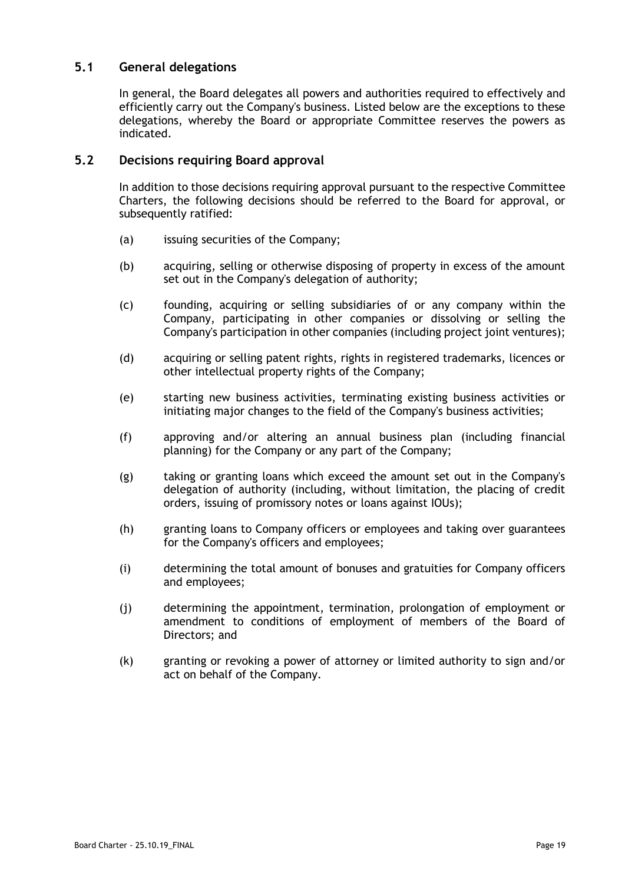### <span id="page-21-0"></span>**5.1 General delegations**

In general, the Board delegates all powers and authorities required to effectively and efficiently carry out the Company's business. Listed below are the exceptions to these delegations, whereby the Board or appropriate Committee reserves the powers as indicated.

### <span id="page-21-1"></span>**5.2 Decisions requiring Board approval**

In addition to those decisions requiring approval pursuant to the respective Committee Charters, the following decisions should be referred to the Board for approval, or subsequently ratified:

- (a) issuing securities of the Company;
- (b) acquiring, selling or otherwise disposing of property in excess of the amount set out in the Company's delegation of authority;
- (c) founding, acquiring or selling subsidiaries of or any company within the Company, participating in other companies or dissolving or selling the Company's participation in other companies (including project joint ventures);
- (d) acquiring or selling patent rights, rights in registered trademarks, licences or other intellectual property rights of the Company;
- (e) starting new business activities, terminating existing business activities or initiating major changes to the field of the Company's business activities;
- (f) approving and/or altering an annual business plan (including financial planning) for the Company or any part of the Company;
- (g) taking or granting loans which exceed the amount set out in the Company's delegation of authority (including, without limitation, the placing of credit orders, issuing of promissory notes or loans against IOUs);
- (h) granting loans to Company officers or employees and taking over guarantees for the Company's officers and employees;
- (i) determining the total amount of bonuses and gratuities for Company officers and employees;
- (j) determining the appointment, termination, prolongation of employment or amendment to conditions of employment of members of the Board of Directors; and
- (k) granting or revoking a power of attorney or limited authority to sign and/or act on behalf of the Company.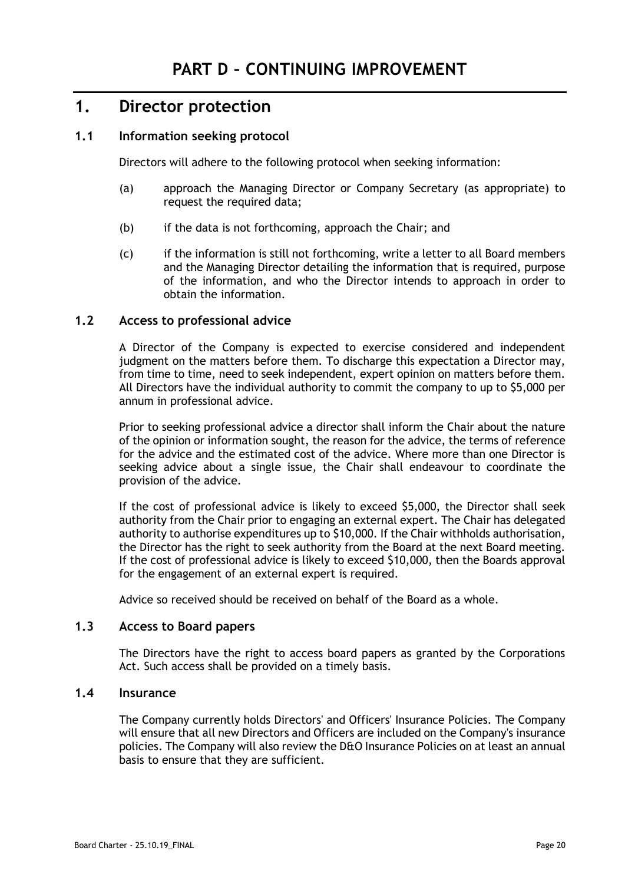## <span id="page-22-1"></span><span id="page-22-0"></span>**1. Director protection**

### <span id="page-22-2"></span>**1.1 Information seeking protocol**

Directors will adhere to the following protocol when seeking information:

- (a) approach the Managing Director or Company Secretary (as appropriate) to request the required data;
- (b) if the data is not forthcoming, approach the Chair; and
- (c) if the information is still not forthcoming, write a letter to all Board members and the Managing Director detailing the information that is required, purpose of the information, and who the Director intends to approach in order to obtain the information.

### <span id="page-22-3"></span>**1.2 Access to professional advice**

A Director of the Company is expected to exercise considered and independent judgment on the matters before them. To discharge this expectation a Director may, from time to time, need to seek independent, expert opinion on matters before them. All Directors have the individual authority to commit the company to up to \$5,000 per annum in professional advice.

Prior to seeking professional advice a director shall inform the Chair about the nature of the opinion or information sought, the reason for the advice, the terms of reference for the advice and the estimated cost of the advice. Where more than one Director is seeking advice about a single issue, the Chair shall endeavour to coordinate the provision of the advice.

If the cost of professional advice is likely to exceed \$5,000, the Director shall seek authority from the Chair prior to engaging an external expert. The Chair has delegated authority to authorise expenditures up to \$10,000. If the Chair withholds authorisation, the Director has the right to seek authority from the Board at the next Board meeting. If the cost of professional advice is likely to exceed \$10,000, then the Boards approval for the engagement of an external expert is required.

Advice so received should be received on behalf of the Board as a whole.

### <span id="page-22-4"></span>**1.3 Access to Board papers**

The Directors have the right to access board papers as granted by the Corporations Act. Such access shall be provided on a timely basis.

#### <span id="page-22-5"></span>**1.4 Insurance**

The Company currently holds Directors' and Officers' Insurance Policies. The Company will ensure that all new Directors and Officers are included on the Company's insurance policies. The Company will also review the D&O Insurance Policies on at least an annual basis to ensure that they are sufficient.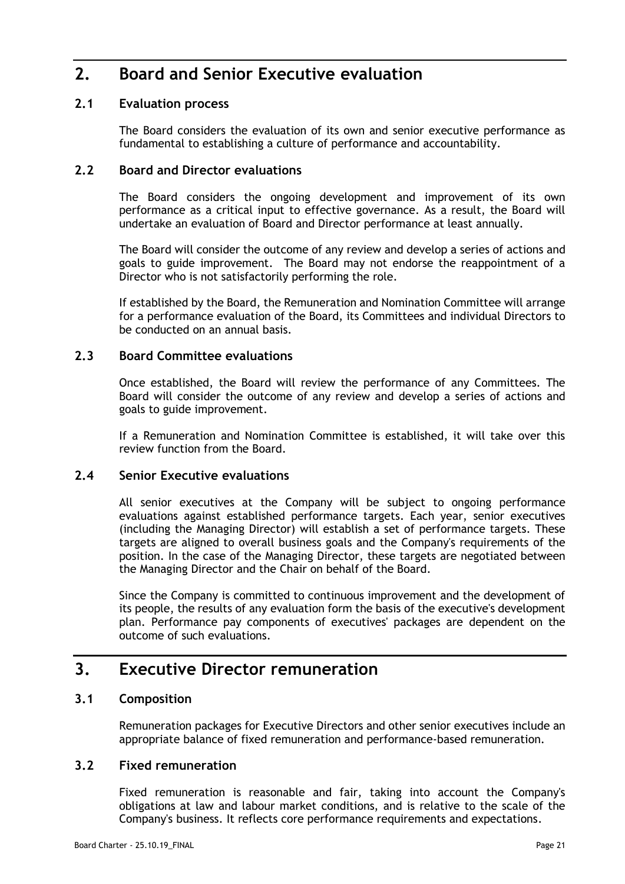# <span id="page-23-0"></span>**2. Board and Senior Executive evaluation**

### <span id="page-23-1"></span>**2.1 Evaluation process**

The Board considers the evaluation of its own and senior executive performance as fundamental to establishing a culture of performance and accountability.

### <span id="page-23-2"></span>**2.2 Board and Director evaluations**

The Board considers the ongoing development and improvement of its own performance as a critical input to effective governance. As a result, the Board will undertake an evaluation of Board and Director performance at least annually.

The Board will consider the outcome of any review and develop a series of actions and goals to guide improvement. The Board may not endorse the reappointment of a Director who is not satisfactorily performing the role.

If established by the Board, the Remuneration and Nomination Committee will arrange for a performance evaluation of the Board, its Committees and individual Directors to be conducted on an annual basis.

### <span id="page-23-3"></span>**2.3 Board Committee evaluations**

Once established, the Board will review the performance of any Committees. The Board will consider the outcome of any review and develop a series of actions and goals to guide improvement.

If a Remuneration and Nomination Committee is established, it will take over this review function from the Board.

#### <span id="page-23-4"></span>**2.4 Senior Executive evaluations**

All senior executives at the Company will be subject to ongoing performance evaluations against established performance targets. Each year, senior executives (including the Managing Director) will establish a set of performance targets. These targets are aligned to overall business goals and the Company's requirements of the position. In the case of the Managing Director, these targets are negotiated between the Managing Director and the Chair on behalf of the Board.

Since the Company is committed to continuous improvement and the development of its people, the results of any evaluation form the basis of the executive's development plan. Performance pay components of executives' packages are dependent on the outcome of such evaluations.

## <span id="page-23-5"></span>**3. Executive Director remuneration**

#### <span id="page-23-6"></span>**3.1 Composition**

Remuneration packages for Executive Directors and other senior executives include an appropriate balance of fixed remuneration and performance-based remuneration.

### <span id="page-23-7"></span>**3.2 Fixed remuneration**

Fixed remuneration is reasonable and fair, taking into account the Company's obligations at law and labour market conditions, and is relative to the scale of the Company's business. It reflects core performance requirements and expectations.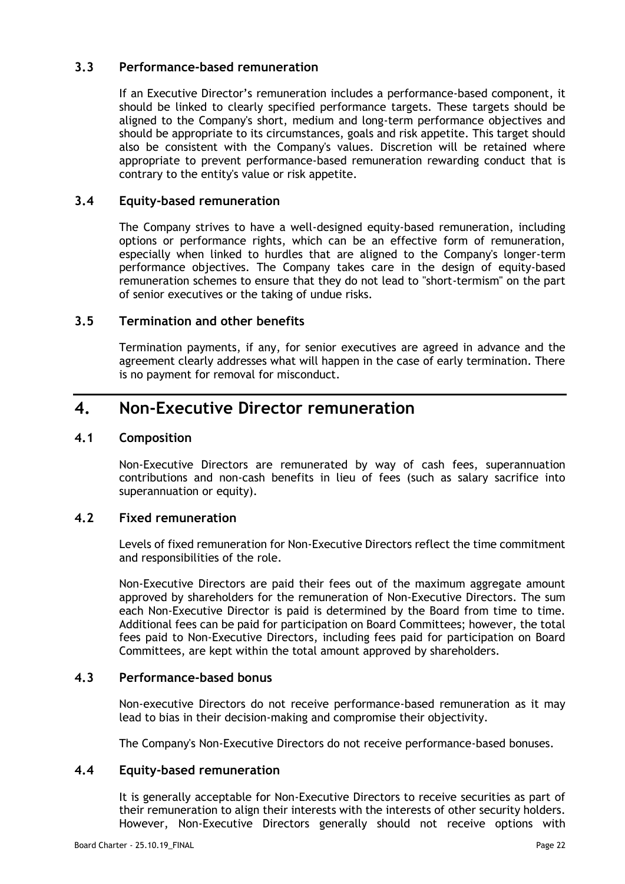### <span id="page-24-0"></span>**3.3 Performance-based remuneration**

If an Executive Director's remuneration includes a performance-based component, it should be linked to clearly specified performance targets. These targets should be aligned to the Company's short, medium and long-term performance objectives and should be appropriate to its circumstances, goals and risk appetite. This target should also be consistent with the Company's values. Discretion will be retained where appropriate to prevent performance-based remuneration rewarding conduct that is contrary to the entity's value or risk appetite.

### <span id="page-24-1"></span>**3.4 Equity-based remuneration**

The Company strives to have a well-designed equity-based remuneration, including options or performance rights, which can be an effective form of remuneration, especially when linked to hurdles that are aligned to the Company's longer-term performance objectives. The Company takes care in the design of equity-based remuneration schemes to ensure that they do not lead to "short-termism" on the part of senior executives or the taking of undue risks.

### <span id="page-24-2"></span>**3.5 Termination and other benefits**

Termination payments, if any, for senior executives are agreed in advance and the agreement clearly addresses what will happen in the case of early termination. There is no payment for removal for misconduct.

## <span id="page-24-3"></span>**4. Non-Executive Director remuneration**

#### <span id="page-24-4"></span>**4.1 Composition**

Non-Executive Directors are remunerated by way of cash fees, superannuation contributions and non-cash benefits in lieu of fees (such as salary sacrifice into superannuation or equity).

### <span id="page-24-5"></span>**4.2 Fixed remuneration**

Levels of fixed remuneration for Non-Executive Directors reflect the time commitment and responsibilities of the role.

Non-Executive Directors are paid their fees out of the maximum aggregate amount approved by shareholders for the remuneration of Non-Executive Directors. The sum each Non-Executive Director is paid is determined by the Board from time to time. Additional fees can be paid for participation on Board Committees; however, the total fees paid to Non-Executive Directors, including fees paid for participation on Board Committees, are kept within the total amount approved by shareholders.

### <span id="page-24-6"></span>**4.3 Performance-based bonus**

Non-executive Directors do not receive performance-based remuneration as it may lead to bias in their decision-making and compromise their objectivity.

The Company's Non-Executive Directors do not receive performance-based bonuses.

#### <span id="page-24-7"></span>**4.4 Equity-based remuneration**

It is generally acceptable for Non-Executive Directors to receive securities as part of their remuneration to align their interests with the interests of other security holders. However, Non-Executive Directors generally should not receive options with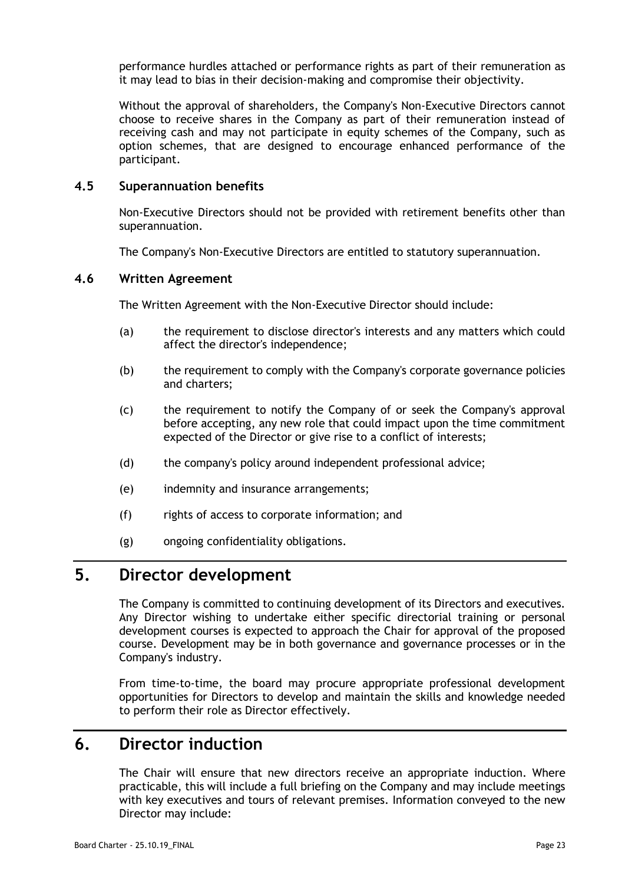performance hurdles attached or performance rights as part of their remuneration as it may lead to bias in their decision-making and compromise their objectivity.

Without the approval of shareholders, the Company's Non-Executive Directors cannot choose to receive shares in the Company as part of their remuneration instead of receiving cash and may not participate in equity schemes of the Company, such as option schemes, that are designed to encourage enhanced performance of the participant.

#### <span id="page-25-0"></span>**4.5 Superannuation benefits**

Non-Executive Directors should not be provided with retirement benefits other than superannuation.

The Company's Non-Executive Directors are entitled to statutory superannuation.

#### <span id="page-25-1"></span>**4.6 Written Agreement**

The Written Agreement with the Non-Executive Director should include:

- (a) the requirement to disclose director's interests and any matters which could affect the director's independence;
- (b) the requirement to comply with the Company's corporate governance policies and charters;
- (c) the requirement to notify the Company of or seek the Company's approval before accepting, any new role that could impact upon the time commitment expected of the Director or give rise to a conflict of interests;
- (d) the company's policy around independent professional advice;
- (e) indemnity and insurance arrangements;
- (f) rights of access to corporate information; and
- (g) ongoing confidentiality obligations.

## <span id="page-25-2"></span>**5. Director development**

The Company is committed to continuing development of its Directors and executives. Any Director wishing to undertake either specific directorial training or personal development courses is expected to approach the Chair for approval of the proposed course. Development may be in both governance and governance processes or in the Company's industry.

From time-to-time, the board may procure appropriate professional development opportunities for Directors to develop and maintain the skills and knowledge needed to perform their role as Director effectively.

## <span id="page-25-3"></span>**6. Director induction**

The Chair will ensure that new directors receive an appropriate induction. Where practicable, this will include a full briefing on the Company and may include meetings with key executives and tours of relevant premises. Information conveyed to the new Director may include: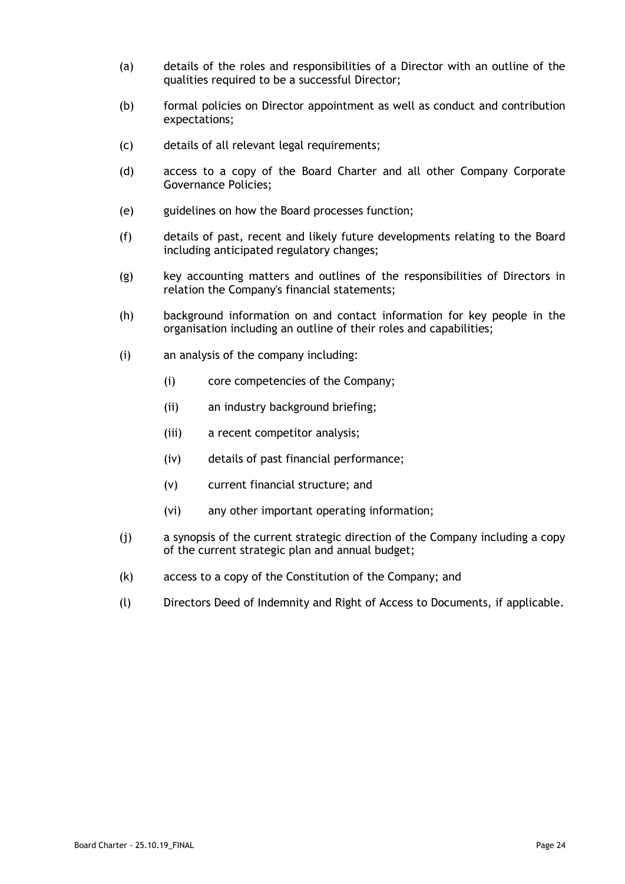- (a) details of the roles and responsibilities of a Director with an outline of the qualities required to be a successful Director;
- (b) formal policies on Director appointment as well as conduct and contribution expectations;
- (c) details of all relevant legal requirements;
- (d) access to a copy of the Board Charter and all other Company Corporate Governance Policies;
- (e) guidelines on how the Board processes function;
- (f) details of past, recent and likely future developments relating to the Board including anticipated regulatory changes;
- (g) key accounting matters and outlines of the responsibilities of Directors in relation the Company's financial statements;
- (h) background information on and contact information for key people in the organisation including an outline of their roles and capabilities;
- (i) an analysis of the company including:
	- (i) core competencies of the Company;
	- (ii) an industry background briefing;
	- (iii) a recent competitor analysis;
	- (iv) details of past financial performance;
	- (v) current financial structure; and
	- (vi) any other important operating information;
- (j) a synopsis of the current strategic direction of the Company including a copy of the current strategic plan and annual budget;
- (k) access to a copy of the Constitution of the Company; and
- (l) Directors Deed of Indemnity and Right of Access to Documents, if applicable.